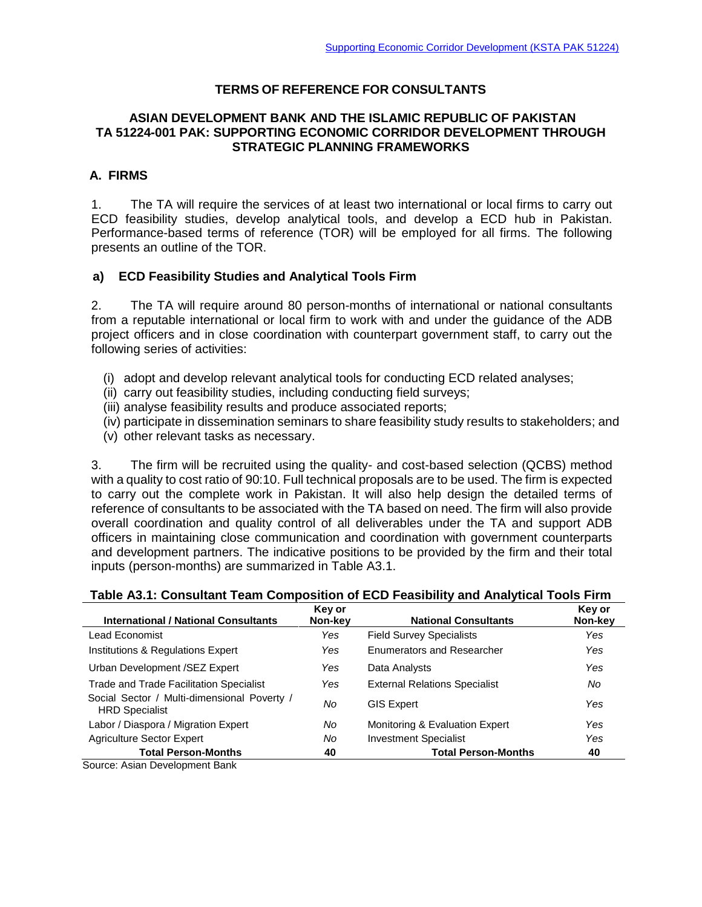### **TERMS OF REFERENCE FOR CONSULTANTS**

#### **ASIAN DEVELOPMENT BANK AND THE ISLAMIC REPUBLIC OF PAKISTAN TA 51224-001 PAK: SUPPORTING ECONOMIC CORRIDOR DEVELOPMENT THROUGH STRATEGIC PLANNING FRAMEWORKS**

# **A. FIRMS**

1. The TA will require the services of at least two international or local firms to carry out ECD feasibility studies, develop analytical tools, and develop a ECD hub in Pakistan. Performance-based terms of reference (TOR) will be employed for all firms. The following presents an outline of the TOR.

### **a) ECD Feasibility Studies and Analytical Tools Firm**

2. The TA will require around 80 person-months of international or national consultants from a reputable international or local firm to work with and under the guidance of the ADB project officers and in close coordination with counterpart government staff, to carry out the following series of activities:

- (i) adopt and develop relevant analytical tools for conducting ECD related analyses;
- (ii) carry out feasibility studies, including conducting field surveys;
- (iii) analyse feasibility results and produce associated reports;
- (iv) participate in dissemination seminars to share feasibility study results to stakeholders; and
- (v) other relevant tasks as necessary.

3. The firm will be recruited using the quality- and cost-based selection (QCBS) method with a quality to cost ratio of 90:10. Full technical proposals are to be used. The firm is expected to carry out the complete work in Pakistan. It will also help design the detailed terms of reference of consultants to be associated with the TA based on need. The firm will also provide overall coordination and quality control of all deliverables under the TA and support ADB officers in maintaining close communication and coordination with government counterparts and development partners. The indicative positions to be provided by the firm and their total inputs (person-months) are summarized in Table A3.1.

| <b>International / National Consultants</b>                          | Key or<br>Non-key | <b>National Consultants</b>          | Key or<br>Non-key |
|----------------------------------------------------------------------|-------------------|--------------------------------------|-------------------|
| Lead Economist                                                       | Yes               | <b>Field Survey Specialists</b>      | Yes               |
| Institutions & Regulations Expert                                    | Yes               | <b>Enumerators and Researcher</b>    | Yes               |
| Urban Development /SEZ Expert                                        | Yes               | Data Analysts                        | Yes               |
| <b>Trade and Trade Facilitation Specialist</b>                       | Yes               | <b>External Relations Specialist</b> | No                |
| Social Sector / Multi-dimensional Poverty /<br><b>HRD Specialist</b> | No                | <b>GIS Expert</b>                    | Yes               |
| Labor / Diaspora / Migration Expert                                  | No                | Monitoring & Evaluation Expert       | Yes               |
| <b>Agriculture Sector Expert</b>                                     | No                | <b>Investment Specialist</b>         | Yes               |
| <b>Total Person-Months</b><br>Course: Asian Douglasses and Dank      | 40                | <b>Total Person-Months</b>           | 40                |

#### **Table A3.1: Consultant Team Composition of ECD Feasibility and Analytical Tools Firm**

Source: Asian Development Bank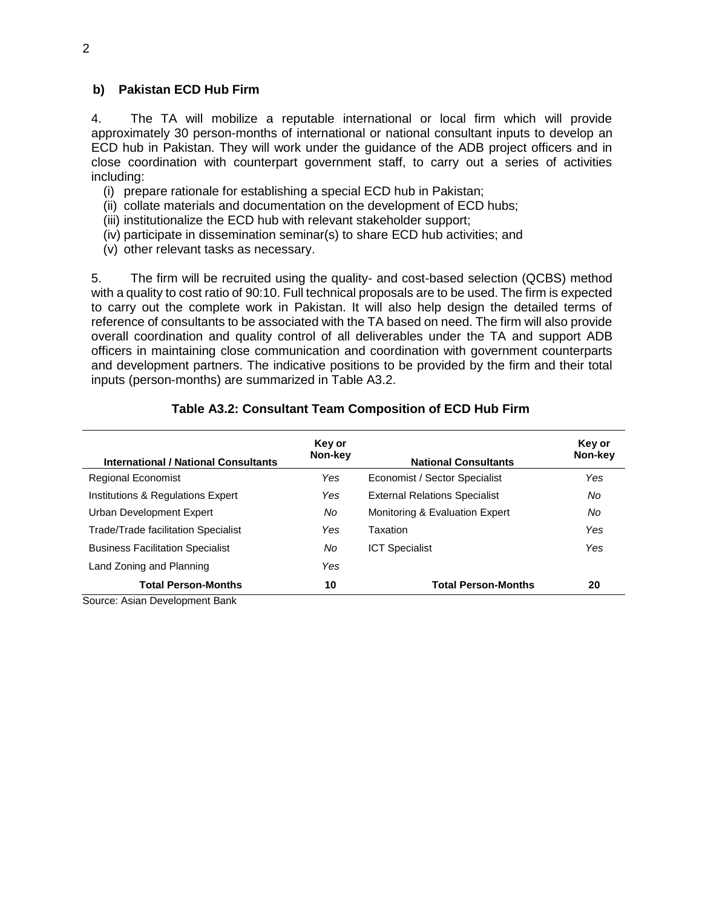### **b) Pakistan ECD Hub Firm**

4. The TA will mobilize a reputable international or local firm which will provide approximately 30 person-months of international or national consultant inputs to develop an ECD hub in Pakistan. They will work under the guidance of the ADB project officers and in close coordination with counterpart government staff, to carry out a series of activities including:

- (i) prepare rationale for establishing a special ECD hub in Pakistan;
- (ii) collate materials and documentation on the development of ECD hubs;
- (iii) institutionalize the ECD hub with relevant stakeholder support;
- (iv) participate in dissemination seminar(s) to share ECD hub activities; and
- (v) other relevant tasks as necessary.

5. The firm will be recruited using the quality- and cost-based selection (QCBS) method with a quality to cost ratio of 90:10. Full technical proposals are to be used. The firm is expected to carry out the complete work in Pakistan. It will also help design the detailed terms of reference of consultants to be associated with the TA based on need. The firm will also provide overall coordination and quality control of all deliverables under the TA and support ADB officers in maintaining close communication and coordination with government counterparts and development partners. The indicative positions to be provided by the firm and their total inputs (person-months) are summarized in Table A3.2.

#### **Table A3.2: Consultant Team Composition of ECD Hub Firm**

| Key or<br>Non-key | <b>National Consultants</b>          | Key or<br>Non-key |
|-------------------|--------------------------------------|-------------------|
| Yes               | Economist / Sector Specialist        | Yes               |
| Yes               | <b>External Relations Specialist</b> | No                |
| No                | Monitoring & Evaluation Expert       | No                |
| Yes               | Taxation                             | Yes               |
| No                | <b>ICT Specialist</b>                | Yes               |
| Yes               |                                      |                   |
| 10                | <b>Total Person-Months</b>           | 20                |
|                   |                                      |                   |

Source: Asian Development Bank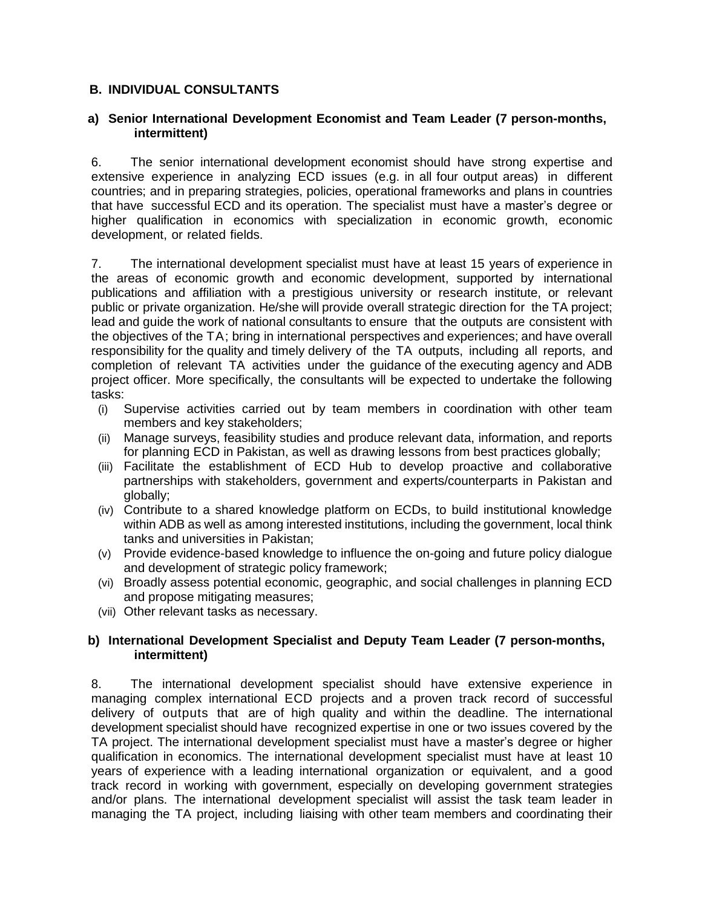## **B. INDIVIDUAL CONSULTANTS**

### **a) Senior International Development Economist and Team Leader (7 person-months, intermittent)**

6. The senior international development economist should have strong expertise and extensive experience in analyzing ECD issues (e.g. in all four output areas) in different countries; and in preparing strategies, policies, operational frameworks and plans in countries that have successful ECD and its operation. The specialist must have a master's degree or higher qualification in economics with specialization in economic growth, economic development, or related fields.

7. The international development specialist must have at least 15 years of experience in the areas of economic growth and economic development, supported by international publications and affiliation with a prestigious university or research institute, or relevant public or private organization. He/she will provide overall strategic direction for the TA project; lead and guide the work of national consultants to ensure that the outputs are consistent with the objectives of the TA; bring in international perspectives and experiences; and have overall responsibility for the quality and timely delivery of the TA outputs, including all reports, and completion of relevant TA activities under the guidance of the executing agency and ADB project officer. More specifically, the consultants will be expected to undertake the following tasks:

- (i) Supervise activities carried out by team members in coordination with other team members and key stakeholders;
- (ii) Manage surveys, feasibility studies and produce relevant data, information, and reports for planning ECD in Pakistan, as well as drawing lessons from best practices globally;
- (iii) Facilitate the establishment of ECD Hub to develop proactive and collaborative partnerships with stakeholders, government and experts/counterparts in Pakistan and globally;
- (iv) Contribute to a shared knowledge platform on ECDs, to build institutional knowledge within ADB as well as among interested institutions, including the government, local think tanks and universities in Pakistan;
- (v) Provide evidence-based knowledge to influence the on-going and future policy dialogue and development of strategic policy framework;
- (vi) Broadly assess potential economic, geographic, and social challenges in planning ECD and propose mitigating measures;
- (vii) Other relevant tasks as necessary.

### **b) International Development Specialist and Deputy Team Leader (7 person-months, intermittent)**

8. The international development specialist should have extensive experience in managing complex international ECD projects and a proven track record of successful delivery of outputs that are of high quality and within the deadline. The international development specialist should have recognized expertise in one or two issues covered by the TA project. The international development specialist must have a master's degree or higher qualification in economics. The international development specialist must have at least 10 years of experience with a leading international organization or equivalent, and a good track record in working with government, especially on developing government strategies and/or plans. The international development specialist will assist the task team leader in managing the TA project, including liaising with other team members and coordinating their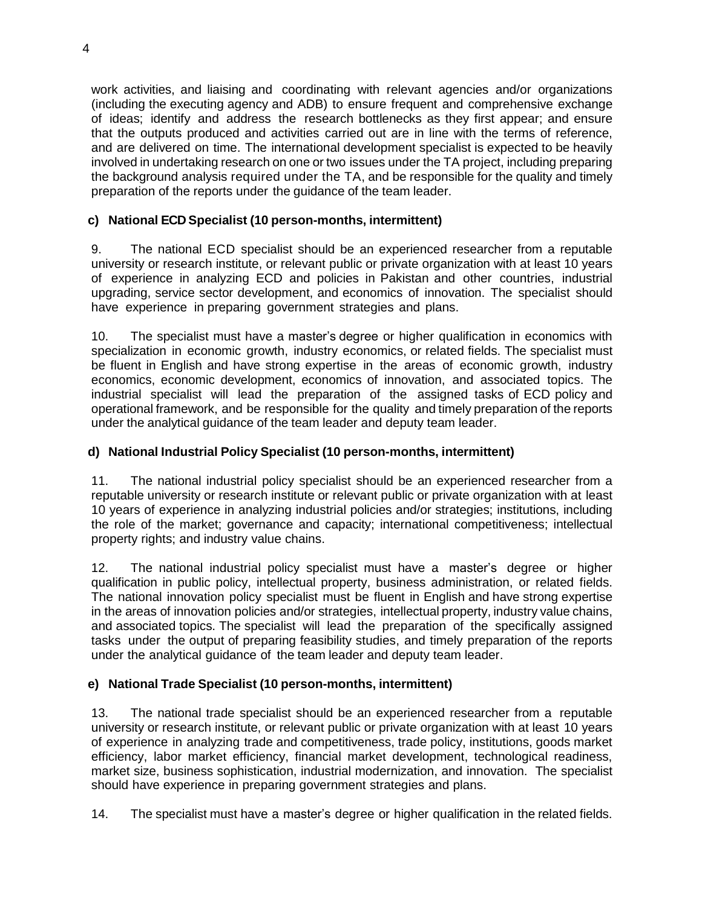work activities, and liaising and coordinating with relevant agencies and/or organizations (including the executing agency and ADB) to ensure frequent and comprehensive exchange of ideas; identify and address the research bottlenecks as they first appear; and ensure that the outputs produced and activities carried out are in line with the terms of reference, and are delivered on time. The international development specialist is expected to be heavily involved in undertaking research on one or two issues under the TA project, including preparing the background analysis required under the TA, and be responsible for the quality and timely preparation of the reports under the guidance of the team leader.

# **c) National ECD Specialist (10 person-months, intermittent)**

9. The national ECD specialist should be an experienced researcher from a reputable university or research institute, or relevant public or private organization with at least 10 years of experience in analyzing ECD and policies in Pakistan and other countries, industrial upgrading, service sector development, and economics of innovation. The specialist should have experience in preparing government strategies and plans.

10. The specialist must have a master's degree or higher qualification in economics with specialization in economic growth, industry economics, or related fields. The specialist must be fluent in English and have strong expertise in the areas of economic growth, industry economics, economic development, economics of innovation, and associated topics. The industrial specialist will lead the preparation of the assigned tasks of ECD policy and operational framework, and be responsible for the quality and timely preparation of the reports under the analytical guidance of the team leader and deputy team leader.

## **d) National Industrial Policy Specialist (10 person-months, intermittent)**

11. The national industrial policy specialist should be an experienced researcher from a reputable university or research institute or relevant public or private organization with at least 10 years of experience in analyzing industrial policies and/or strategies; institutions, including the role of the market; governance and capacity; international competitiveness; intellectual property rights; and industry value chains.

12. The national industrial policy specialist must have a master's degree or higher qualification in public policy, intellectual property, business administration, or related fields. The national innovation policy specialist must be fluent in English and have strong expertise in the areas of innovation policies and/or strategies, intellectual property, industry value chains, and associated topics. The specialist will lead the preparation of the specifically assigned tasks under the output of preparing feasibility studies, and timely preparation of the reports under the analytical guidance of the team leader and deputy team leader.

# **e) National Trade Specialist (10 person-months, intermittent)**

13. The national trade specialist should be an experienced researcher from a reputable university or research institute, or relevant public or private organization with at least 10 years of experience in analyzing trade and competitiveness, trade policy, institutions, goods market efficiency, labor market efficiency, financial market development, technological readiness, market size, business sophistication, industrial modernization, and innovation. The specialist should have experience in preparing government strategies and plans.

14. The specialist must have a master's degree or higher qualification in the related fields.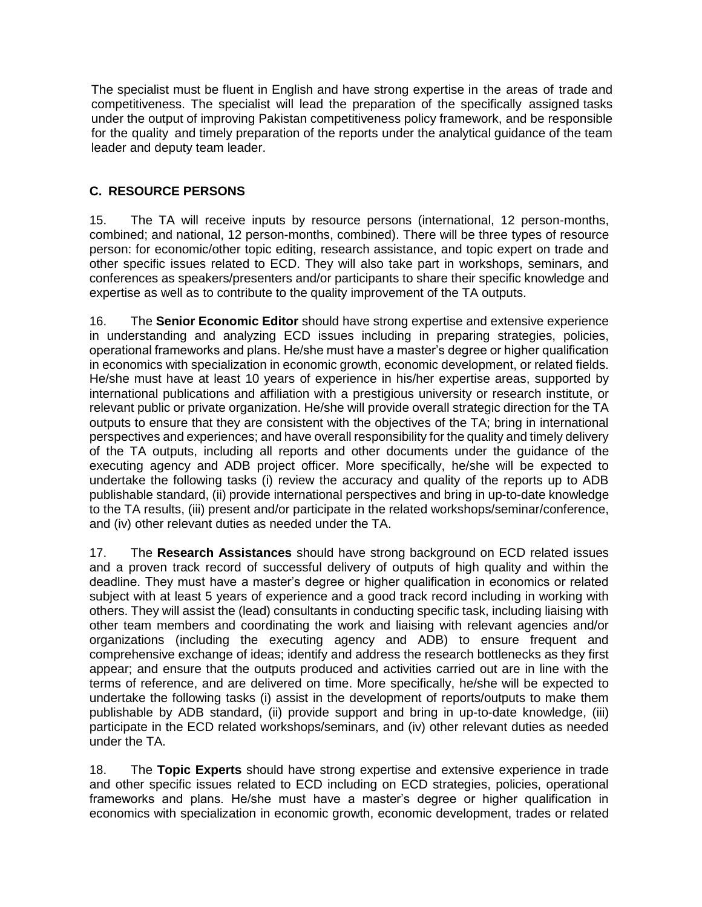The specialist must be fluent in English and have strong expertise in the areas of trade and competitiveness. The specialist will lead the preparation of the specifically assigned tasks under the output of improving Pakistan competitiveness policy framework, and be responsible for the quality and timely preparation of the reports under the analytical guidance of the team leader and deputy team leader.

# **C. RESOURCE PERSONS**

15. The TA will receive inputs by resource persons (international, 12 person-months, combined; and national, 12 person-months, combined). There will be three types of resource person: for economic/other topic editing, research assistance, and topic expert on trade and other specific issues related to ECD. They will also take part in workshops, seminars, and conferences as speakers/presenters and/or participants to share their specific knowledge and expertise as well as to contribute to the quality improvement of the TA outputs.

16. The **Senior Economic Editor** should have strong expertise and extensive experience in understanding and analyzing ECD issues including in preparing strategies, policies, operational frameworks and plans. He/she must have a master's degree or higher qualification in economics with specialization in economic growth, economic development, or related fields. He/she must have at least 10 years of experience in his/her expertise areas, supported by international publications and affiliation with a prestigious university or research institute, or relevant public or private organization. He/she will provide overall strategic direction for the TA outputs to ensure that they are consistent with the objectives of the TA; bring in international perspectives and experiences; and have overall responsibility for the quality and timely delivery of the TA outputs, including all reports and other documents under the guidance of the executing agency and ADB project officer. More specifically, he/she will be expected to undertake the following tasks (i) review the accuracy and quality of the reports up to ADB publishable standard, (ii) provide international perspectives and bring in up-to-date knowledge to the TA results, (iii) present and/or participate in the related workshops/seminar/conference, and (iv) other relevant duties as needed under the TA.

17. The **Research Assistances** should have strong background on ECD related issues and a proven track record of successful delivery of outputs of high quality and within the deadline. They must have a master's degree or higher qualification in economics or related subject with at least 5 years of experience and a good track record including in working with others. They will assist the (lead) consultants in conducting specific task, including liaising with other team members and coordinating the work and liaising with relevant agencies and/or organizations (including the executing agency and ADB) to ensure frequent and comprehensive exchange of ideas; identify and address the research bottlenecks as they first appear; and ensure that the outputs produced and activities carried out are in line with the terms of reference, and are delivered on time. More specifically, he/she will be expected to undertake the following tasks (i) assist in the development of reports/outputs to make them publishable by ADB standard, (ii) provide support and bring in up-to-date knowledge, (iii) participate in the ECD related workshops/seminars, and (iv) other relevant duties as needed under the TA.

18. The **Topic Experts** should have strong expertise and extensive experience in trade and other specific issues related to ECD including on ECD strategies, policies, operational frameworks and plans. He/she must have a master's degree or higher qualification in economics with specialization in economic growth, economic development, trades or related